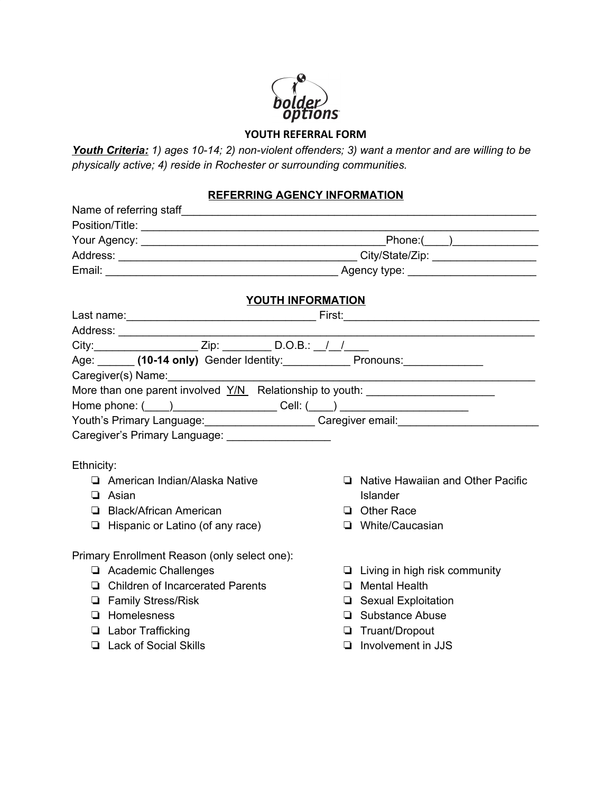

# **YOUTH REFERRAL FORM**

*Youth Criteria: 1) ages 10-14; 2) non-violent offenders; 3) want a mentor and are willing to be physically active; 4) reside in Rochester or surrounding communities.*

## **REFERRING AGENCY INFORMATION**

| YOUTH INFORMATION                                                                                    |                                                                                  |  |                                      |  |
|------------------------------------------------------------------------------------------------------|----------------------------------------------------------------------------------|--|--------------------------------------|--|
|                                                                                                      |                                                                                  |  |                                      |  |
|                                                                                                      |                                                                                  |  |                                      |  |
| Age: ______ (10-14 only) Gender Identity: ____________ Pronouns: ______________                      |                                                                                  |  |                                      |  |
|                                                                                                      | Caregiver(s) Name: Manneled and Caregiver (s) Name: Management and Caregiver (s) |  |                                      |  |
|                                                                                                      | More than one parent involved Y/N Relationship to youth: _______________________ |  |                                      |  |
| Home phone: (____)_______________________Cell: (____) __________________________                     |                                                                                  |  |                                      |  |
| Youth's Primary Language: ________________________Caregiver email: _________________________________ |                                                                                  |  |                                      |  |
|                                                                                                      | Caregiver's Primary Language: __________________                                 |  |                                      |  |
|                                                                                                      |                                                                                  |  |                                      |  |
| Ethnicity:                                                                                           |                                                                                  |  |                                      |  |
|                                                                                                      | American Indian/Alaska Native                                                    |  | □ Native Hawaiian and Other Pacific  |  |
|                                                                                                      | $\Box$ Asian                                                                     |  | Islander                             |  |
|                                                                                                      | □ Black/African American                                                         |  | $\Box$ Other Race                    |  |
|                                                                                                      | $\Box$ Hispanic or Latino (of any race)                                          |  | □ White/Caucasian                    |  |
|                                                                                                      | Primary Enrollment Reason (only select one):                                     |  |                                      |  |
|                                                                                                      | Academic Challenges                                                              |  | $\Box$ Living in high risk community |  |
|                                                                                                      | □ Children of Incarcerated Parents                                               |  | $\Box$ Mental Health                 |  |
|                                                                                                      | <b>Example Stress/Risk</b>                                                       |  | □ Sexual Exploitation                |  |
|                                                                                                      | $\Box$ Homelesness                                                               |  | □ Substance Abuse                    |  |
|                                                                                                      | <b>Labor Trafficking</b>                                                         |  | Truant/Dropout                       |  |
|                                                                                                      | □ Lack of Social Skills                                                          |  | $\Box$ Involvement in JJS            |  |
|                                                                                                      |                                                                                  |  |                                      |  |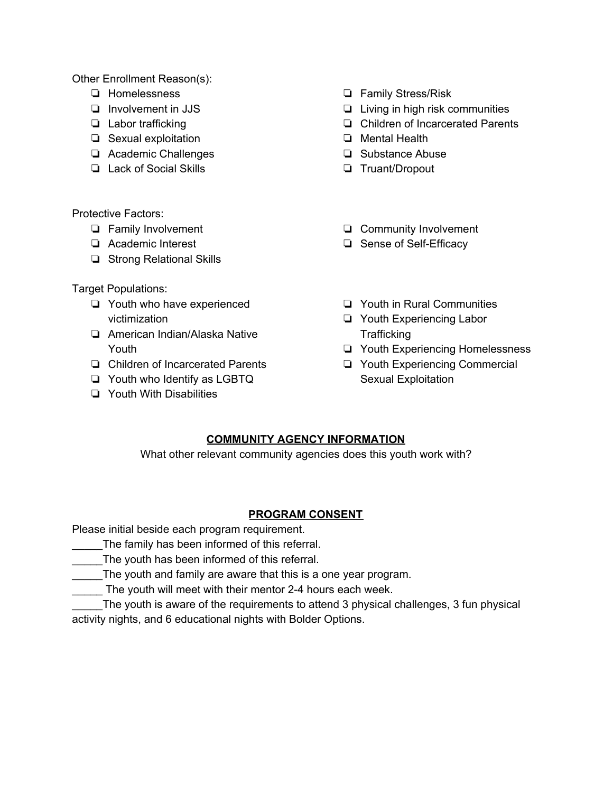Other Enrollment Reason(s):

- ❏ Homelessness
- ❏ Involvement in JJS
- ❏ Labor trafficking
- ❏ Sexual exploitation
- ❏ Academic Challenges
- ❏ Lack of Social Skills

Protective Factors:

- ❏ Family Involvement
- ❏ Academic Interest
- ❏ Strong Relational Skills

Target Populations:

- ❏ Youth who have experienced victimization
- ❏ American Indian/Alaska Native Youth
- ❏ Children of Incarcerated Parents
- ❏ Youth who Identify as LGBTQ
- ❏ Youth With Disabilities
- ❏ Family Stress/Risk
- ❏ Living in high risk communities
- ❏ Children of Incarcerated Parents
- ❏ Mental Health
- ❏ Substance Abuse
- ❏ Truant/Dropout
- ❏ Community Involvement
- ❏ Sense of Self-Efficacy
- ❏ Youth in Rural Communities
- ❏ Youth Experiencing Labor **Trafficking**
- ❏ Youth Experiencing Homelessness
- ❏ Youth Experiencing Commercial Sexual Exploitation

## **COMMUNITY AGENCY INFORMATION**

What other relevant community agencies does this youth work with?

## **PROGRAM CONSENT**

Please initial beside each program requirement.

- \_\_\_\_\_The family has been informed of this referral.
- The youth has been informed of this referral.
- The youth and family are aware that this is a one year program.

\_\_\_\_\_ The youth will meet with their mentor 2-4 hours each week.

\_\_\_\_\_The youth is aware of the requirements to attend 3 physical challenges, 3 fun physical activity nights, and 6 educational nights with Bolder Options.